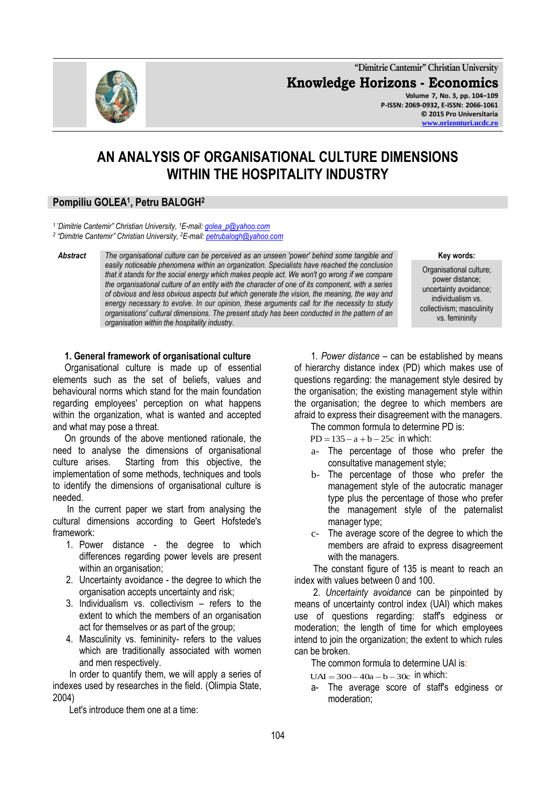**"Dimitrie Cantemir" Christian University Knowledge Horizons - Economics Volume 7, No. 3, pp. 104–109 P-ISSN: 2069-0932, E-ISSN: 2066-1061 © 2015 Pro Universitaria**

# **AN ANALYSIS OF ORGANISATIONAL CULTURE DIMENSIONS WITHIN THE HOSPITALITY INDUSTRY**

# **Pompiliu GOLEA<sup>1</sup> , Petru BALOGH<sup>2</sup>**

*<sup>1</sup>"Dimitrie Cantemir" Christian University, <sup>1</sup>E-mail[: golea\\_p@yahoo.com](mailto:golea_p@yahoo.com) 2 "Dimitrie Cantemir" Christian University, <sup>2</sup>E-mail: [petrubalogh@yahoo.com](mailto:petrubalogh@yahoo.com)*

*Abstract The organisational culture can be perceived as an unseen 'power' behind some tangible and easily noticeable phenomena within an organization. Specialists have reached the conclusion that it stands for the social energy which makes people act. We won't go wrong if we compare the organisational culture of an entity with the character of one of its component, with a series of obvious and less obvious aspects but which generate the vision, the meaning, the way and energy necessary to evolve. In our opinion, these arguments call for the necessity to study organisations' cultural dimensions. The present study has been conducted in the pattern of an organisation within the hospitality industry.* 

#### **Key words:**

Organisational culture; power distance; uncertainty avoidance; individualism vs. collectivism; masculinity vs. femininity

### **1. General framework of organisational culture**

 Organisational culture is made up of essential elements such as the set of beliefs, values and behavioural norms which stand for the main foundation regarding employees' perception on what happens within the organization, what is wanted and accepted and what may pose a threat.

 On grounds of the above mentioned rationale, the need to analyse the dimensions of organisational culture arises. Starting from this objective, the implementation of some methods, techniques and tools to identify the dimensions of organisational culture is needed.

 In the current paper we start from analysing the cultural dimensions according to Geert Hofstede's framework:

- 1. Power distance the degree to which differences regarding power levels are present within an organisation:
- 2. Uncertainty avoidance the degree to which the organisation accepts uncertainty and risk;
- 3. Individualism vs. collectivism refers to the extent to which the members of an organisation act for themselves or as part of the group;
- 4. Masculinity vs. femininity- refers to the values which are traditionally associated with women and men respectively.

 In order to quantify them, we will apply a series of indexes used by researches in the field. (Olimpia State, 2004)

Let's introduce them one at a time:

 1*. Power distance* – can be established by means of hierarchy distance index (PD) which makes use of questions regarding: the management style desired by the organisation; the existing management style within the organisation; the degree to which members are afraid to express their disagreement with the managers.

- The common formula to determine PD is:
- $PD = 135 a + b 25c$  in which:
	- a- The percentage of those who prefer the consultative management style;
	- b- The percentage of those who prefer the management style of the autocratic manager type plus the percentage of those who prefer the management style of the paternalist manager type;
	- c- The average score of the degree to which the members are afraid to express disagreement with the managers.

 The constant figure of 135 is meant to reach an index with values between 0 and 100.

 2. *Uncertainty avoidance* can be pinpointed by means of uncertainty control index (UAI) which makes use of questions regarding: staff's edginess or moderation; the length of time for which employees intend to join the organization; the extent to which rules can be broken.

The common formula to determine UAI is:

- $UAI = 300 40a b 30c$  in which:
	- a- The average score of staff's edginess or moderation;

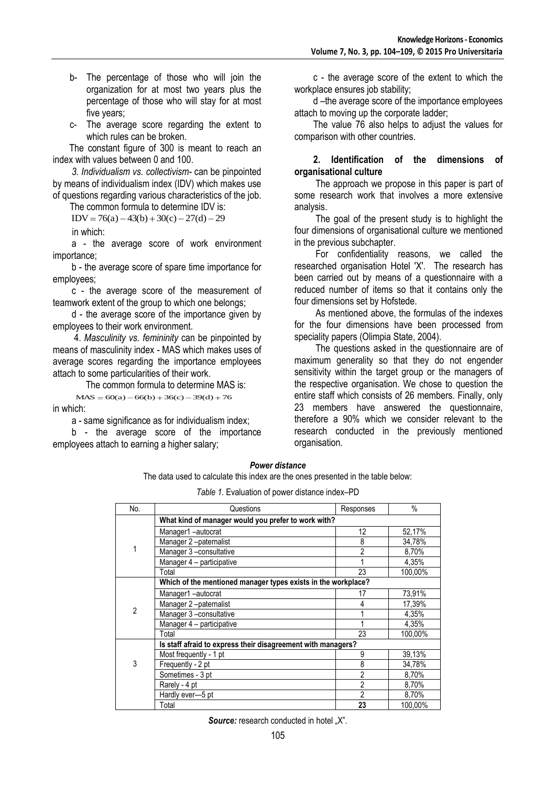- b- The percentage of those who will join the organization for at most two years plus the percentage of those who will stay for at most five years;
- c- The average score regarding the extent to which rules can be broken.

 The constant figure of 300 is meant to reach an index with values between 0 and 100.

 *3. Individualism vs. collectivism-* can be pinpointed by means of individualism index (IDV) which makes use of questions regarding various characteristics of the job.

The common formula to determine IDV is:

 $IDV = 76(a) - 43(b) + 30(c) - 27(d) - 29$ 

in which:

 a - the average score of work environment importance;

 b - the average score of spare time importance for employees;

 c - the average score of the measurement of teamwork extent of the group to which one belongs;

 d - the average score of the importance given by employees to their work environment.

 4. *Masculinity vs. femininity* can be pinpointed by means of masculinity index - MAS which makes uses of average scores regarding the importance employees attach to some particularities of their work.

The common formula to determine MAS is:

 $MAS = 60(a) - 66(b) + 36(c) - 39(d) + 76$ in which:

a - same significance as for individualism index;

 b - the average score of the importance employees attach to earning a higher salary;

 c - the average score of the extent to which the workplace ensures job stability;

 d –the average score of the importance employees attach to moving up the corporate ladder;

 The value 76 also helps to adjust the values for comparison with other countries.

#### **2. Identification of the dimensions of organisational culture**

 The approach we propose in this paper is part of some research work that involves a more extensive analysis.

 The goal of the present study is to highlight the four dimensions of organisational culture we mentioned in the previous subchapter.

 For confidentiality reasons, we called the researched organisation Hotel 'X'. The research has been carried out by means of a questionnaire with a reduced number of items so that it contains only the four dimensions set by Hofstede.

 As mentioned above, the formulas of the indexes for the four dimensions have been processed from speciality papers (Olimpia State, 2004).

 The questions asked in the questionnaire are of maximum generality so that they do not engender sensitivity within the target group or the managers of the respective organisation. We chose to question the entire staff which consists of 26 members. Finally, only 23 members have answered the questionnaire, therefore a 90% which we consider relevant to the research conducted in the previously mentioned organisation.

#### *Power distance*

The data used to calculate this index are the ones presented in the table below:

*Table 1.* Evaluation of power distance index–PD

| No.            | Questions                                                     | Responses      | $\%$    |
|----------------|---------------------------------------------------------------|----------------|---------|
|                | What kind of manager would you prefer to work with?           |                |         |
| 1              | Manager1-autocrat                                             | 12             | 52,17%  |
|                | Manager 2-paternalist                                         | 8              | 34,78%  |
|                | Manager 3 -consultative                                       | 2              | 8,70%   |
|                | Manager 4 - participative                                     | 1              | 4,35%   |
|                | Total                                                         | 23             | 100,00% |
|                | Which of the mentioned manager types exists in the workplace? |                |         |
| $\overline{2}$ | Manager1-autocrat                                             | 17             | 73,91%  |
|                | Manager 2-paternalist                                         | 4              | 17,39%  |
|                | Manager 3 -consultative                                       | 1              | 4,35%   |
|                | Manager 4 - participative                                     |                | 4,35%   |
|                | Total                                                         | 23             | 100,00% |
|                | Is staff afraid to express their disagreement with managers?  |                |         |
| 3              | Most frequently - 1 pt                                        | 9              | 39,13%  |
|                | Frequently - 2 pt                                             | 8              | 34,78%  |
|                | Sometimes - 3 pt                                              | $\overline{2}$ | 8,70%   |
|                | Rarely - 4 pt                                                 | $\overline{2}$ | 8,70%   |
|                | Hardly ever-5 pt                                              | $\overline{2}$ | 8,70%   |
|                | Total                                                         | 23             | 100,00% |

**Source:** research conducted in hotel "X".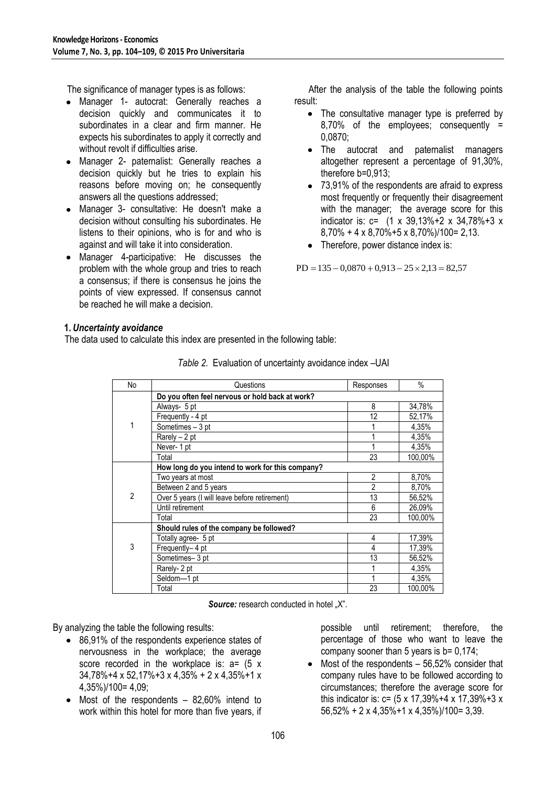The significance of manager types is as follows:

- Manager 1- autocrat: Generally reaches a decision quickly and communicates it to subordinates in a clear and firm manner. He expects his subordinates to apply it correctly and without revolt if difficulties arise.
- Manager 2- paternalist: Generally reaches a decision quickly but he tries to explain his reasons before moving on; he consequently answers all the questions addressed;
- Manager 3- consultative: He doesn't make a decision without consulting his subordinates. He listens to their opinions, who is for and who is against and will take it into consideration.
- Manager 4-participative: He discusses the  $\bullet$ problem with the whole group and tries to reach a consensus; if there is consensus he joins the points of view expressed. If consensus cannot be reached he will make a decision.

 After the analysis of the table the following points result:

- The consultative manager type is preferred by 8,70% of the employees; consequently = 0,0870;
- The autocrat and paternalist managers altogether represent a percentage of 91,30%, therefore b=0,913;
- 73,91% of the respondents are afraid to express most frequently or frequently their disagreement with the manager; the average score for this indicator is: c= (1 x 39,13%+2 x 34,78%+3 x 8,70% + 4 x 8,70%+5 x 8,70%)/100= 2,13.
- Therefore, power distance index is:

 $PD = 135 - 0.0870 + 0.913 - 25 \times 2.13 = 82.57$ 

### **1.** *Uncertainty avoidance*

The data used to calculate this index are presented in the following table:

| No             | Questions                                        | Responses      | $\%$    |
|----------------|--------------------------------------------------|----------------|---------|
|                | Do you often feel nervous or hold back at work?  |                |         |
|                | Always- 5 pt                                     | 8              | 34,78%  |
|                | Frequently - 4 pt                                | 12             | 52,17%  |
|                | Sometimes - 3 pt                                 |                | 4,35%   |
|                | Rarely - 2 pt                                    | 1              | 4,35%   |
|                | Never-1 pt                                       | 1              | 4,35%   |
|                | Total                                            | 23             | 100,00% |
|                | How long do you intend to work for this company? |                |         |
| $\overline{2}$ | Two years at most                                | $\overline{2}$ | 8,70%   |
|                | Between 2 and 5 years                            | $\overline{2}$ | 8,70%   |
|                | Over 5 years (I will leave before retirement)    | 13             | 56,52%  |
|                | Until retirement                                 | 6              | 26,09%  |
|                | Total                                            | 23             | 100,00% |
|                | Should rules of the company be followed?         |                |         |
| 3              | Totally agree- 5 pt                              | 4              | 17,39%  |
|                | Frequently-4 pt                                  | 4              | 17,39%  |
|                | Sometimes-3 pt                                   | 13             | 56,52%  |
|                | Rarely- 2 pt                                     | 1              | 4,35%   |
|                | Seldom-1 pt                                      | 1              | 4,35%   |
|                | Total                                            | 23             | 100,00% |

**Source:** research conducted in hotel "X".

By analyzing the table the following results:

- 86,91% of the respondents experience states of nervousness in the workplace; the average score recorded in the workplace is:  $a = (5 \times 10^{-10})$ 34,78%+4 x 52,17%+3 x 4,35% + 2 x 4,35%+1 x 4,35%)/100= 4,09;
- Most of the respondents 82,60% intend to work within this hotel for more than five years, if

possible until retirement; therefore, the percentage of those who want to leave the company sooner than 5 years is b= 0,174;

Most of the respondents – 56,52% consider that company rules have to be followed according to circumstances; therefore the average score for this indicator is: c= (5 x 17,39%+4 x 17,39%+3 x 56,52% + 2 x 4,35%+1 x 4,35%)/100= 3,39.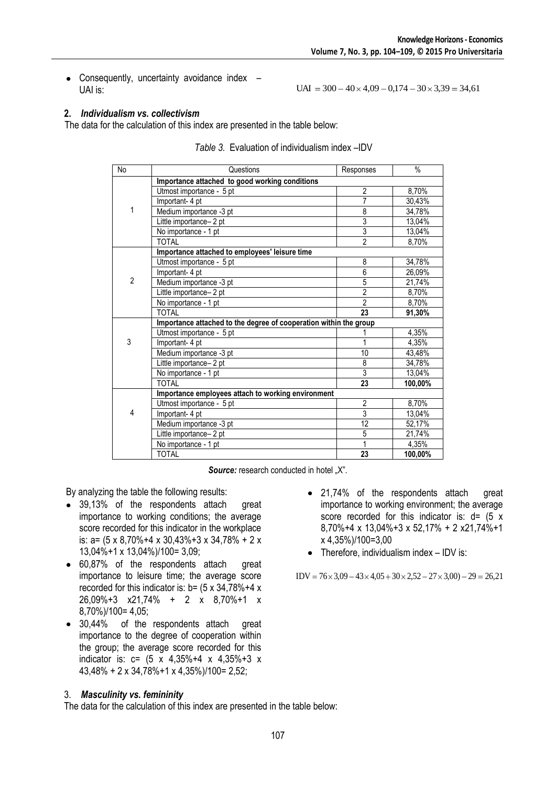$UAI = 300 - 40 \times 4,09 - 0,174 - 30 \times 3,39 = 34,61$ 

• Consequently, uncertainty avoidance index -UAI is:

### **2.** *Individualism vs. collectivism*

The data for the calculation of this index are presented in the table below:

| No             | Questions                                                         | Responses       | $\frac{0}{6}$ |
|----------------|-------------------------------------------------------------------|-----------------|---------------|
|                | Importance attached to good working conditions                    |                 |               |
| 1              | Utmost importance - 5 pt                                          | $\overline{2}$  | 8,70%         |
|                | Important- 4 pt                                                   | $\overline{7}$  | 30,43%        |
|                | Medium importance -3 pt                                           | 8               | 34,78%        |
|                | Little importance- 2 pt                                           | $\overline{3}$  | 13,04%        |
|                | No importance - 1 pt                                              | $\overline{3}$  | 13,04%        |
|                | <b>TOTAL</b>                                                      | $\overline{2}$  | 8,70%         |
|                | Importance attached to employees' leisure time                    |                 |               |
|                | Utmost importance - 5 pt                                          | 8               | 34,78%        |
|                | Important- 4 pt                                                   | $\overline{6}$  | 26,09%        |
| $\overline{2}$ | Medium importance -3 pt                                           | 5               | 21,74%        |
|                | Little importance-2 pt                                            | $\overline{2}$  | 8,70%         |
|                | No importance - 1 pt                                              | $\overline{2}$  | 8,70%         |
|                | <b>TOTAL</b>                                                      | 23              | 91,30%        |
|                | Importance attached to the degree of cooperation within the group |                 |               |
|                | Utmost importance - 5 pt                                          |                 | 4,35%         |
| 3              | Important- 4 pt                                                   | 1               | 4,35%         |
|                | Medium importance -3 pt                                           | 10              | 43,48%        |
|                | Little importance-2 pt                                            | 8               | 34,78%        |
|                | No importance - 1 pt                                              | $\overline{3}$  | 13,04%        |
|                | <b>TOTAL</b>                                                      | 23              | 100,00%       |
|                | Importance employees attach to working environment                |                 |               |
| 4              | Utmost importance - 5 pt                                          | $\overline{2}$  | 8,70%         |
|                | Important- 4 pt                                                   | $\overline{3}$  | 13,04%        |
|                | Medium importance -3 pt                                           | $\overline{12}$ | 52,17%        |
|                | Little importance- 2 pt                                           | $\overline{5}$  | 21,74%        |
|                | No importance - 1 pt                                              | $\mathbf{1}$    | 4,35%         |
|                | <b>TOTAL</b>                                                      | 23              | 100,00%       |

**Source:** research conducted in hotel "X".

By analyzing the table the following results:

- 39,13% of the respondents attach great importance to working conditions; the average score recorded for this indicator in the workplace is: a= (5 x 8,70%+4 x 30,43%+3 x 34,78% + 2 x 13,04%+1 x 13,04%)/100= 3,09;
- 60,87% of the respondents attach great importance to leisure time; the average score recorded for this indicator is:  $b = (5 \times 34, 78\% + 4 \times 10^{-19})$ 26,09%+3 x21,74% + 2 x 8,70%+1 x 8,70%)/100= 4,05;
- 30,44% of the respondents attach great importance to the degree of cooperation within the group; the average score recorded for this indicator is:  $c = (5 \times 4,35\% + 4 \times 4,35\% + 3 \times 4,35\% + 3)$ 43,48% + 2 x 34,78%+1 x 4,35%)/100= 2,52;

## 3. *Masculinity vs. femininity*

The data for the calculation of this index are presented in the table below:

- 21,74% of the respondents attach great importance to working environment; the average score recorded for this indicator is:  $d = (5 \times 10^{-10})$ 8,70%+4 x 13,04%+3 x 52,17% + 2 x21,74%+1 x 4,35%)/100=3,00
- Therefore, individualism index IDV is:

 $IDV = 76 \times 3,09 - 43 \times 4,05 + 30 \times 2,52 - 27 \times 3,00 - 29 = 26,21$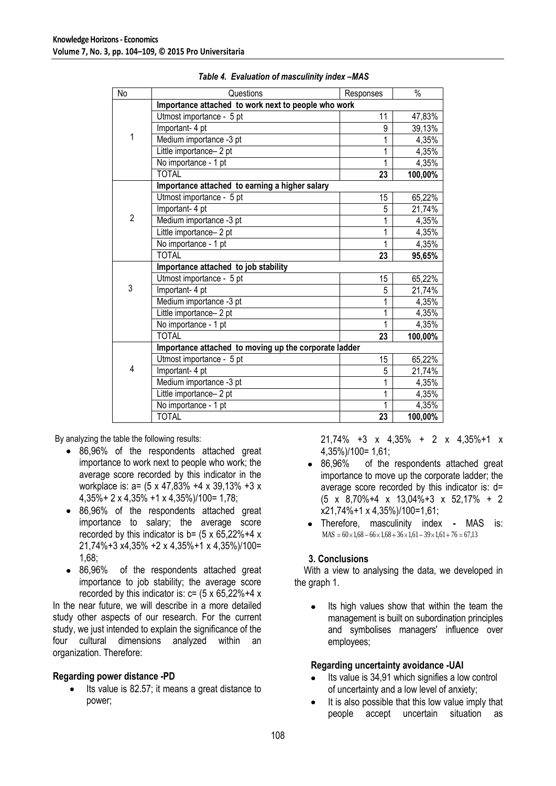| No             | Questions                                             | Responses | $\frac{0}{6}$ |
|----------------|-------------------------------------------------------|-----------|---------------|
|                | Importance attached to work next to people who work   |           |               |
| 1              | Utmost importance - 5 pt                              | 11        | 47,83%        |
|                | Important- 4 pt                                       | 9         | 39,13%        |
|                | Medium importance -3 pt                               | 1         | 4,35%         |
|                | Little importance-2 pt                                | 1         | 4,35%         |
|                | No importance - 1 pt                                  | 1         | 4,35%         |
|                | <b>TOTAL</b>                                          | 23        | 100,00%       |
|                | Importance attached to earning a higher salary        |           |               |
|                | Utmost importance - 5 pt                              | 15        | 65,22%        |
|                | Important- 4 pt                                       | 5         | 21,74%        |
| $\overline{2}$ | Medium importance -3 pt                               | 1         | 4,35%         |
|                | Little importance-2 pt                                | 1         | 4,35%         |
|                | No importance - 1 pt                                  | 1         | 4,35%         |
|                | <b>TOTAL</b>                                          | 23        | 95,65%        |
|                | Importance attached to job stability                  |           |               |
|                | Utmost importance - 5 pt                              | 15        | 65,22%        |
| 3              | Important- 4 pt                                       | 5         | 21,74%        |
|                | Medium importance -3 pt                               | 1         | 4,35%         |
|                | Little importance- 2 pt                               | 1         | 4,35%         |
|                | No importance - 1 pt                                  |           | 4,35%         |
|                | <b>TOTAL</b>                                          | 23        | 100,00%       |
|                | Importance attached to moving up the corporate ladder |           |               |
| 4              | Utmost importance - 5 pt                              | 15        | 65,22%        |
|                | Important- 4 pt                                       | 5         | 21,74%        |
|                | Medium importance -3 pt                               |           | 4,35%         |
|                | Little importance-2 pt                                | 1         | 4,35%         |
|                | No importance - 1 pt                                  |           | 4,35%         |
|                | <b>TOTAL</b>                                          | 23        | 100,00%       |

| Table 4. Evaluation of masculinity index -MAS |  |  |  |
|-----------------------------------------------|--|--|--|
|-----------------------------------------------|--|--|--|

By analyzing the table the following results:

- 86,96% of the respondents attached great importance to work next to people who work; the average score recorded by this indicator in the workplace is: a= (5 x 47,83% +4 x 39,13% +3 x 4,35%+ 2 x 4,35% +1 x 4,35%)/100= 1,78;
- 86,96% of the respondents attached great importance to salary; the average score recorded by this indicator is  $b = (5 \times 65.22\% + 4 \times 10^{-14})$ 21,74%+3 x4,35% +2 x 4,35%+1 x 4,35%)/100= 1,68;
- 86,96% of the respondents attached great importance to job stability; the average score recorded by this indicator is:  $c = (5 \times 65,22\% + 4 \times 1)$

In the near future, we will describe in a more detailed study other aspects of our research. For the current study, we just intended to explain the significance of the four cultural dimensions analyzed within an organization. Therefore:

### **Regarding power distance -PD**

Its value is 82.57; it means a great distance to power;

21,74% +3 x 4,35% + 2 x 4,35%+1 x 4,35%)/100= 1,61;

- 86,96% of the respondents attached great importance to move up the corporate ladder; the average score recorded by this indicator is: d= (5 x 8,70%+4 x 13,04%+3 x 52,17% + 2 x21,74%+1 x 4,35%)/100=1,61;
- Therefore, masculinity index *-* MAS is:  $MAS = 60 \times 1,68 - 66 \times 1,68 + 36 \times 1,61 - 39 \times 1,61 + 76 = 67,13$

### **3. Conclusions**

 With a view to analysing the data, we developed in the graph 1.

Its high values show that within the team the management is built on subordination principles and symbolises managers' influence over employees;

### **Regarding uncertainty avoidance -UAI**

- Its value is 34,91 which signifies a low control of uncertainty and a low level of anxiety;
- It is also possible that this low value imply that people accept uncertain situation as